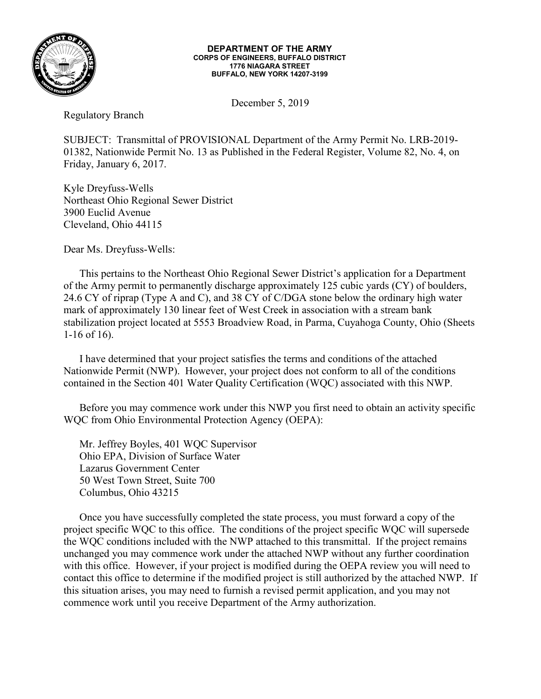

## **DEPARTMENT OF THE ARMY CORPS OF ENGINEERS, BUFFALO DISTRICT 1776 NIAGARA STREET BUFFALO, NEW YORK 14207-3199**

December 5, 2019

Regulatory Branch

SUBJECT: Transmittal of PROVISIONAL Department of the Army Permit No. LRB-2019- 01382, Nationwide Permit No. 13 as Published in the Federal Register, Volume 82, No. 4, on Friday, January 6, 2017.

Kyle Dreyfuss-Wells Northeast Ohio Regional Sewer District 3900 Euclid Avenue Cleveland, Ohio 44115

Dear Ms. Dreyfuss-Wells:

This pertains to the Northeast Ohio Regional Sewer District's application for a Department of the Army permit to permanently discharge approximately 125 cubic yards (CY) of boulders, 24.6 CY of riprap (Type A and C), and 38 CY of C/DGA stone below the ordinary high water mark of approximately 130 linear feet of West Creek in association with a stream bank stabilization project located at 5553 Broadview Road, in Parma, Cuyahoga County, Ohio (Sheets 1-16 of 16).

I have determined that your project satisfies the terms and conditions of the attached Nationwide Permit (NWP). However, your project does not conform to all of the conditions contained in the Section 401 Water Quality Certification (WQC) associated with this NWP.

Before you may commence work under this NWP you first need to obtain an activity specific WQC from Ohio Environmental Protection Agency (OEPA):

Mr. Jeffrey Boyles, 401 WQC Supervisor Ohio EPA, Division of Surface Water Lazarus Government Center 50 West Town Street, Suite 700 Columbus, Ohio 43215

Once you have successfully completed the state process, you must forward a copy of the project specific WQC to this office. The conditions of the project specific WQC will supersede the WQC conditions included with the NWP attached to this transmittal. If the project remains unchanged you may commence work under the attached NWP without any further coordination with this office. However, if your project is modified during the OEPA review you will need to contact this office to determine if the modified project is still authorized by the attached NWP. If this situation arises, you may need to furnish a revised permit application, and you may not commence work until you receive Department of the Army authorization.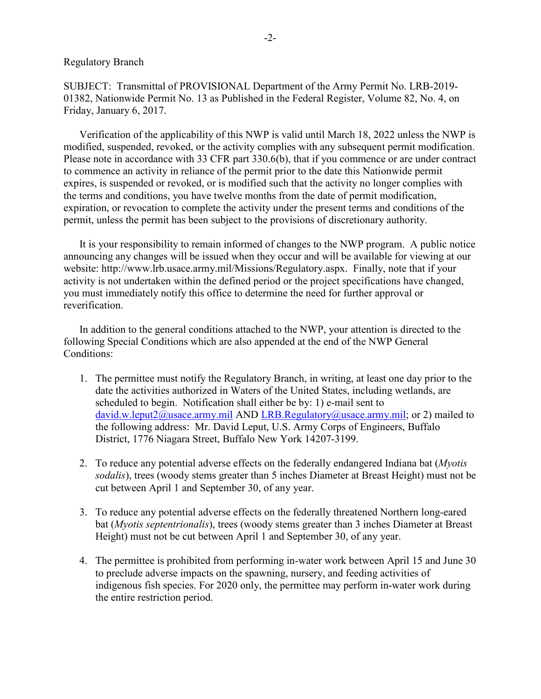SUBJECT: Transmittal of PROVISIONAL Department of the Army Permit No. LRB-2019- 01382, Nationwide Permit No. 13 as Published in the Federal Register, Volume 82, No. 4, on Friday, January 6, 2017.

Verification of the applicability of this NWP is valid until March 18, 2022 unless the NWP is modified, suspended, revoked, or the activity complies with any subsequent permit modification. Please note in accordance with 33 CFR part 330.6(b), that if you commence or are under contract to commence an activity in reliance of the permit prior to the date this Nationwide permit expires, is suspended or revoked, or is modified such that the activity no longer complies with the terms and conditions, you have twelve months from the date of permit modification, expiration, or revocation to complete the activity under the present terms and conditions of the permit, unless the permit has been subject to the provisions of discretionary authority.

It is your responsibility to remain informed of changes to the NWP program. A public notice announcing any changes will be issued when they occur and will be available for viewing at our website: http://www.lrb.usace.army.mil/Missions/Regulatory.aspx. Finally, note that if your activity is not undertaken within the defined period or the project specifications have changed, you must immediately notify this office to determine the need for further approval or reverification.

In addition to the general conditions attached to the NWP, your attention is directed to the following Special Conditions which are also appended at the end of the NWP General Conditions:

- 1. The permittee must notify the Regulatory Branch, in writing, at least one day prior to the date the activities authorized in Waters of the United States, including wetlands, are scheduled to begin. Notification shall either be by: 1) e-mail sent to david.w.leput $2$ @usace.army.mil AND [LRB.Regulatory@usace.army.mil;](mailto:LRB.Regulatory@usace.army.mil) or 2) mailed to the following address: Mr. David Leput, U.S. Army Corps of Engineers, Buffalo District, 1776 Niagara Street, Buffalo New York 14207-3199.
- 2. To reduce any potential adverse effects on the federally endangered Indiana bat (*Myotis sodalis*), trees (woody stems greater than 5 inches Diameter at Breast Height) must not be cut between April 1 and September 30, of any year.
- 3. To reduce any potential adverse effects on the federally threatened Northern long-eared bat (*Myotis septentrionalis*), trees (woody stems greater than 3 inches Diameter at Breast Height) must not be cut between April 1 and September 30, of any year.
- 4. The permittee is prohibited from performing in-water work between April 15 and June 30 to preclude adverse impacts on the spawning, nursery, and feeding activities of indigenous fish species. For 2020 only, the permittee may perform in-water work during the entire restriction period.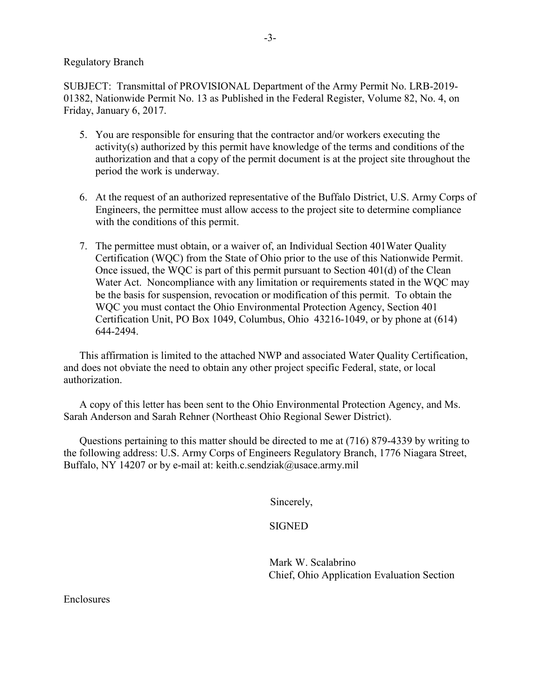## Regulatory Branch

SUBJECT: Transmittal of PROVISIONAL Department of the Army Permit No. LRB-2019- 01382, Nationwide Permit No. 13 as Published in the Federal Register, Volume 82, No. 4, on Friday, January 6, 2017.

- 5. You are responsible for ensuring that the contractor and/or workers executing the activity(s) authorized by this permit have knowledge of the terms and conditions of the authorization and that a copy of the permit document is at the project site throughout the period the work is underway.
- 6. At the request of an authorized representative of the Buffalo District, U.S. Army Corps of Engineers, the permittee must allow access to the project site to determine compliance with the conditions of this permit.
- 7. The permittee must obtain, or a waiver of, an Individual Section 401Water Quality Certification (WQC) from the State of Ohio prior to the use of this Nationwide Permit. Once issued, the WQC is part of this permit pursuant to Section 401(d) of the Clean Water Act. Noncompliance with any limitation or requirements stated in the WQC may be the basis for suspension, revocation or modification of this permit. To obtain the WQC you must contact the Ohio Environmental Protection Agency, Section 401 Certification Unit, PO Box 1049, Columbus, Ohio 43216-1049, or by phone at (614) 644-2494.

This affirmation is limited to the attached NWP and associated Water Quality Certification, and does not obviate the need to obtain any other project specific Federal, state, or local authorization.

A copy of this letter has been sent to the Ohio Environmental Protection Agency, and Ms. Sarah Anderson and Sarah Rehner (Northeast Ohio Regional Sewer District).

Questions pertaining to this matter should be directed to me at (716) 879-4339 by writing to the following address: U.S. Army Corps of Engineers Regulatory Branch, 1776 Niagara Street, Buffalo, NY 14207 or by e-mail at: keith.c.sendziak@usace.army.mil

Sincerely,

SIGNED

 Mark W. Scalabrino Chief, Ohio Application Evaluation Section

Enclosures